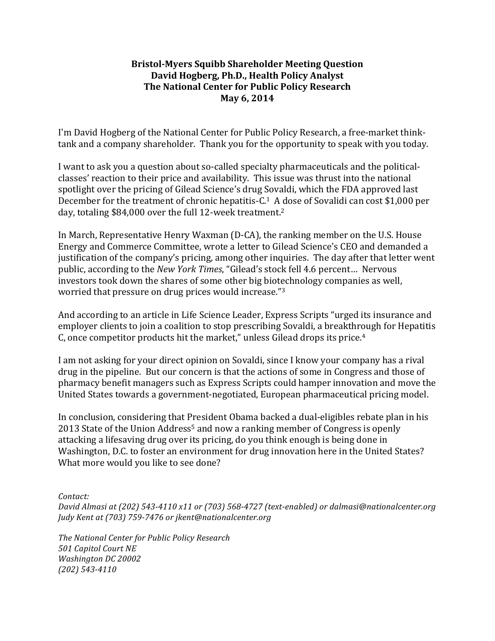## **Bristol-Myers Squibb Shareholder Meeting Question** David Hogberg, Ph.D., Health Policy Analyst **The National Center for Public Policy Research May 6, 2014**

I'm David Hogberg of the National Center for Public Policy Research, a free-market thinktank and a company shareholder. Thank you for the opportunity to speak with you today.

I want to ask you a question about so-called specialty pharmaceuticals and the politicalclasses' reaction to their price and availability. This issue was thrust into the national spotlight over the pricing of Gilead Science's drug Sovaldi, which the FDA approved last December for the treatment of chronic hepatitis- $C<sup>1</sup>$  A dose of Sovalidi can cost \$1,000 per day, totaling \$84,000 over the full 12-week treatment.<sup>2</sup>

In March, Representative Henry Waxman  $(D-CA)$ , the ranking member on the U.S. House Energy and Commerce Committee, wrote a letter to Gilead Science's CEO and demanded a justification of the company's pricing, among other inquiries. The day after that letter went public, according to the *New York Times*, "Gilead's stock fell 4.6 percent... Nervous investors took down the shares of some other big biotechnology companies as well, worried that pressure on drug prices would increase."<sup>3</sup>

And according to an article in Life Science Leader, Express Scripts "urged its insurance and employer clients to join a coalition to stop prescribing Sovaldi, a breakthrough for Hepatitis C, once competitor products hit the market," unless Gilead drops its price. $4$ 

I am not asking for your direct opinion on Sovaldi, since I know your company has a rival drug in the pipeline. But our concern is that the actions of some in Congress and those of pharmacy benefit managers such as Express Scripts could hamper innovation and move the United States towards a government-negotiated, European pharmaceutical pricing model.

In conclusion, considering that President Obama backed a dual-eligibles rebate plan in his 2013 State of the Union Address<sup>5</sup> and now a ranking member of Congress is openly attacking a lifesaving drug over its pricing, do you think enough is being done in Washington, D.C. to foster an environment for drug innovation here in the United States? What more would you like to see done?

*Contact:*

*David Almasi at (202)* 543-4110 x11 or (703) 568-4727 (text-enabled) or dalmasi@nationalcenter.org *Judy Kent at (703) 759-7476 or jkent@nationalcenter.org*

*The National Center for Public Policy Research 501 Capitol Court NE Washington DC 20002 (202) 543-4110*